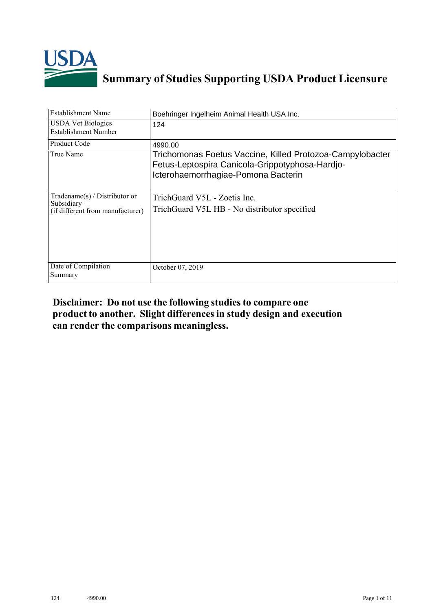

# **Summary of Studies Supporting USDA Product Licensure**

| <b>Establishment Name</b>                                                       | Boehringer Ingelheim Animal Health USA Inc.                                                                                                         |
|---------------------------------------------------------------------------------|-----------------------------------------------------------------------------------------------------------------------------------------------------|
| <b>USDA Vet Biologics</b><br>Establishment Number                               | 124                                                                                                                                                 |
| <b>Product Code</b>                                                             | 4990.00                                                                                                                                             |
| True Name                                                                       | Trichomonas Foetus Vaccine, Killed Protozoa-Campylobacter<br>Fetus-Leptospira Canicola-Grippotyphosa-Hardjo-<br>Icterohaemorrhagiae-Pomona Bacterin |
| Tradename(s) / Distributor or<br>Subsidiary<br>(if different from manufacturer) | TrichGuard V5L - Zoetis Inc.<br>TrichGuard V5L HB - No distributor specified                                                                        |
| Date of Compilation<br>Summary                                                  | October 07, 2019                                                                                                                                    |

# **Disclaimer: Do not use the following studiesto compare one product to another. Slight differencesin study design and execution can render the comparisons meaningless.**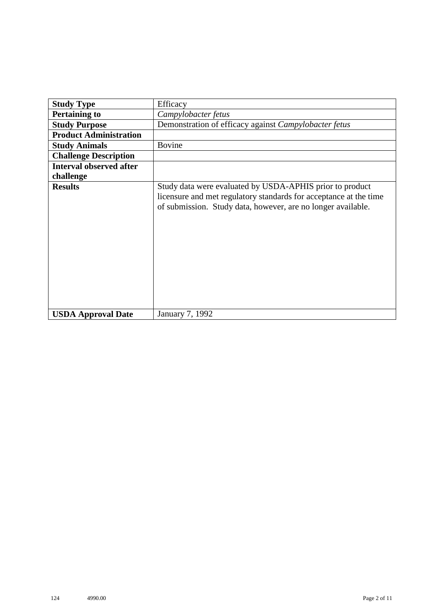| <b>Study Type</b>              | Efficacy                                                                                                                                                                                      |  |  |  |  |  |  |
|--------------------------------|-----------------------------------------------------------------------------------------------------------------------------------------------------------------------------------------------|--|--|--|--|--|--|
| <b>Pertaining to</b>           | Campylobacter fetus                                                                                                                                                                           |  |  |  |  |  |  |
| <b>Study Purpose</b>           | Demonstration of efficacy against Campylobacter fetus                                                                                                                                         |  |  |  |  |  |  |
| <b>Product Administration</b>  |                                                                                                                                                                                               |  |  |  |  |  |  |
| <b>Study Animals</b>           | <b>Bovine</b>                                                                                                                                                                                 |  |  |  |  |  |  |
| <b>Challenge Description</b>   |                                                                                                                                                                                               |  |  |  |  |  |  |
| <b>Interval observed after</b> |                                                                                                                                                                                               |  |  |  |  |  |  |
| challenge                      |                                                                                                                                                                                               |  |  |  |  |  |  |
| <b>Results</b>                 | Study data were evaluated by USDA-APHIS prior to product<br>licensure and met regulatory standards for acceptance at the time<br>of submission. Study data, however, are no longer available. |  |  |  |  |  |  |
| <b>USDA Approval Date</b>      | January 7, 1992                                                                                                                                                                               |  |  |  |  |  |  |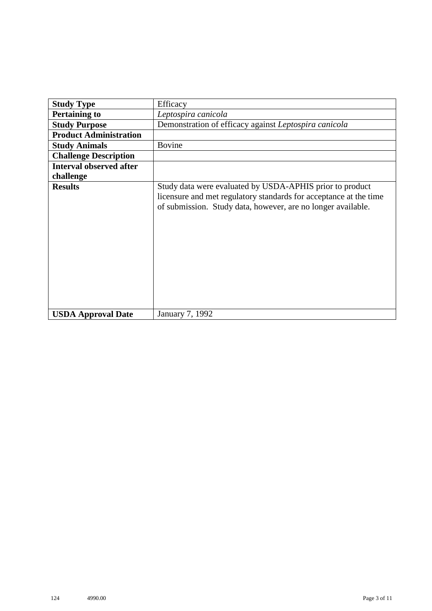| <b>Study Type</b>              | Efficacy                                                                                                                                                                                      |  |  |  |  |  |
|--------------------------------|-----------------------------------------------------------------------------------------------------------------------------------------------------------------------------------------------|--|--|--|--|--|
| <b>Pertaining to</b>           | Leptospira canicola                                                                                                                                                                           |  |  |  |  |  |
| <b>Study Purpose</b>           | Demonstration of efficacy against Leptospira canicola                                                                                                                                         |  |  |  |  |  |
| <b>Product Administration</b>  |                                                                                                                                                                                               |  |  |  |  |  |
| <b>Study Animals</b>           | <b>Bovine</b>                                                                                                                                                                                 |  |  |  |  |  |
| <b>Challenge Description</b>   |                                                                                                                                                                                               |  |  |  |  |  |
| <b>Interval observed after</b> |                                                                                                                                                                                               |  |  |  |  |  |
| challenge                      |                                                                                                                                                                                               |  |  |  |  |  |
| <b>Results</b>                 | Study data were evaluated by USDA-APHIS prior to product<br>licensure and met regulatory standards for acceptance at the time<br>of submission. Study data, however, are no longer available. |  |  |  |  |  |
| <b>USDA Approval Date</b>      | January 7, 1992                                                                                                                                                                               |  |  |  |  |  |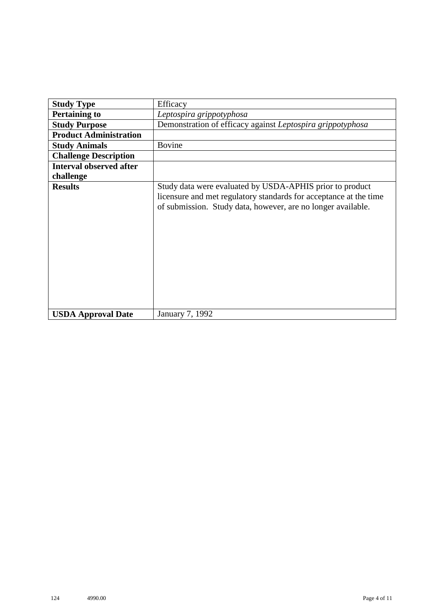| <b>Study Type</b>              | Efficacy                                                                                                                                                                                      |  |  |  |  |  |  |
|--------------------------------|-----------------------------------------------------------------------------------------------------------------------------------------------------------------------------------------------|--|--|--|--|--|--|
| <b>Pertaining to</b>           | Leptospira grippotyphosa                                                                                                                                                                      |  |  |  |  |  |  |
| <b>Study Purpose</b>           | Demonstration of efficacy against Leptospira grippotyphosa                                                                                                                                    |  |  |  |  |  |  |
| <b>Product Administration</b>  |                                                                                                                                                                                               |  |  |  |  |  |  |
| <b>Study Animals</b>           | <b>Bovine</b>                                                                                                                                                                                 |  |  |  |  |  |  |
| <b>Challenge Description</b>   |                                                                                                                                                                                               |  |  |  |  |  |  |
| <b>Interval observed after</b> |                                                                                                                                                                                               |  |  |  |  |  |  |
| challenge                      |                                                                                                                                                                                               |  |  |  |  |  |  |
| <b>Results</b>                 | Study data were evaluated by USDA-APHIS prior to product<br>licensure and met regulatory standards for acceptance at the time<br>of submission. Study data, however, are no longer available. |  |  |  |  |  |  |
| <b>USDA Approval Date</b>      | January 7, 1992                                                                                                                                                                               |  |  |  |  |  |  |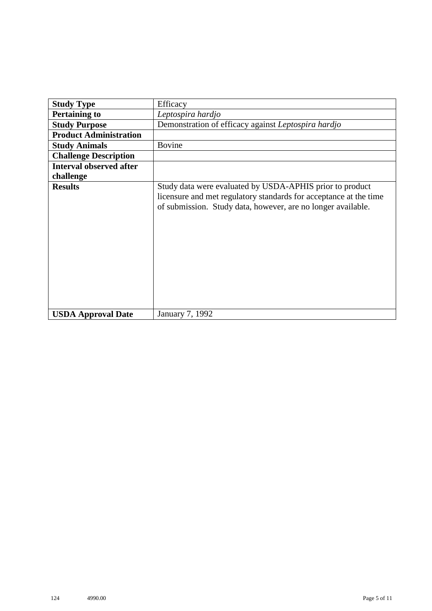| <b>Study Type</b>              | Efficacy                                                                                                                                                                                      |  |  |  |  |  |
|--------------------------------|-----------------------------------------------------------------------------------------------------------------------------------------------------------------------------------------------|--|--|--|--|--|
|                                |                                                                                                                                                                                               |  |  |  |  |  |
| <b>Pertaining to</b>           | Leptospira hardjo                                                                                                                                                                             |  |  |  |  |  |
| <b>Study Purpose</b>           | Demonstration of efficacy against Leptospira hardjo                                                                                                                                           |  |  |  |  |  |
| <b>Product Administration</b>  |                                                                                                                                                                                               |  |  |  |  |  |
| <b>Study Animals</b>           | <b>Bovine</b>                                                                                                                                                                                 |  |  |  |  |  |
| <b>Challenge Description</b>   |                                                                                                                                                                                               |  |  |  |  |  |
| <b>Interval observed after</b> |                                                                                                                                                                                               |  |  |  |  |  |
| challenge                      |                                                                                                                                                                                               |  |  |  |  |  |
| <b>Results</b>                 | Study data were evaluated by USDA-APHIS prior to product<br>licensure and met regulatory standards for acceptance at the time<br>of submission. Study data, however, are no longer available. |  |  |  |  |  |
| <b>USDA Approval Date</b>      | January 7, 1992                                                                                                                                                                               |  |  |  |  |  |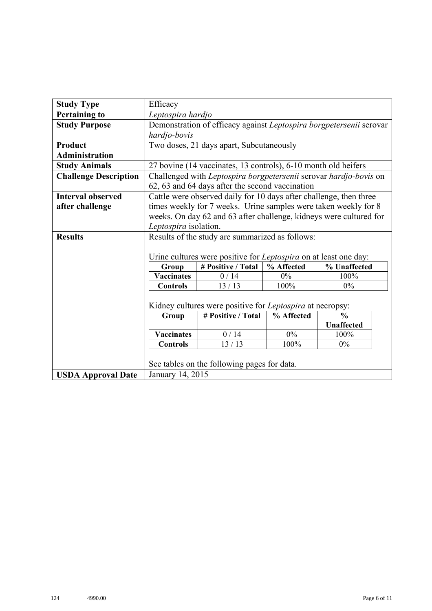| <b>Study Type</b>            | Efficacy                                                  |                                                                         |            |                                                                     |  |  |  |  |  |
|------------------------------|-----------------------------------------------------------|-------------------------------------------------------------------------|------------|---------------------------------------------------------------------|--|--|--|--|--|
| <b>Pertaining to</b>         | Leptospira hardjo                                         |                                                                         |            |                                                                     |  |  |  |  |  |
| <b>Study Purpose</b>         |                                                           |                                                                         |            | Demonstration of efficacy against Leptospira borgpetersenii serovar |  |  |  |  |  |
|                              | hardjo-bovis                                              |                                                                         |            |                                                                     |  |  |  |  |  |
| <b>Product</b>               | Two doses, 21 days apart, Subcutaneously                  |                                                                         |            |                                                                     |  |  |  |  |  |
| <b>Administration</b>        |                                                           |                                                                         |            |                                                                     |  |  |  |  |  |
| <b>Study Animals</b>         |                                                           | 27 bovine (14 vaccinates, 13 controls), 6-10 month old heifers          |            |                                                                     |  |  |  |  |  |
| <b>Challenge Description</b> |                                                           |                                                                         |            | Challenged with Leptospira borgpetersenii serovar hardjo-bovis on   |  |  |  |  |  |
|                              |                                                           | 62, 63 and 64 days after the second vaccination                         |            |                                                                     |  |  |  |  |  |
| <b>Interval observed</b>     |                                                           | Cattle were observed daily for 10 days after challenge, then three      |            |                                                                     |  |  |  |  |  |
| after challenge              |                                                           |                                                                         |            | times weekly for 7 weeks. Urine samples were taken weekly for 8     |  |  |  |  |  |
|                              |                                                           |                                                                         |            | weeks. On day 62 and 63 after challenge, kidneys were cultured for  |  |  |  |  |  |
|                              | Leptospira isolation.                                     |                                                                         |            |                                                                     |  |  |  |  |  |
| <b>Results</b>               | Results of the study are summarized as follows:           |                                                                         |            |                                                                     |  |  |  |  |  |
|                              |                                                           |                                                                         |            |                                                                     |  |  |  |  |  |
|                              |                                                           | Urine cultures were positive for <i>Leptospira</i> on at least one day: |            |                                                                     |  |  |  |  |  |
|                              | # Positive / Total<br>% Unaffected<br>% Affected<br>Group |                                                                         |            |                                                                     |  |  |  |  |  |
|                              | <b>Vaccinates</b>                                         | 0/14                                                                    | $0\%$      | 100%                                                                |  |  |  |  |  |
|                              | <b>Controls</b>                                           | 13/13                                                                   | $100\%$    | $0\%$                                                               |  |  |  |  |  |
|                              |                                                           |                                                                         |            |                                                                     |  |  |  |  |  |
|                              |                                                           | Kidney cultures were positive for Leptospira at necropsy:               |            |                                                                     |  |  |  |  |  |
|                              | Group                                                     | # Positive / Total                                                      | % Affected | $\frac{0}{0}$                                                       |  |  |  |  |  |
|                              |                                                           |                                                                         |            | <b>Unaffected</b>                                                   |  |  |  |  |  |
|                              | <b>Vaccinates</b>                                         | 0/14                                                                    | $0\%$      | 100%                                                                |  |  |  |  |  |
|                              | <b>Controls</b>                                           | 13/13                                                                   | 100%       | $0\%$                                                               |  |  |  |  |  |
|                              |                                                           |                                                                         |            |                                                                     |  |  |  |  |  |
|                              |                                                           | See tables on the following pages for data.                             |            |                                                                     |  |  |  |  |  |
| <b>USDA Approval Date</b>    | January 14, 2015                                          |                                                                         |            |                                                                     |  |  |  |  |  |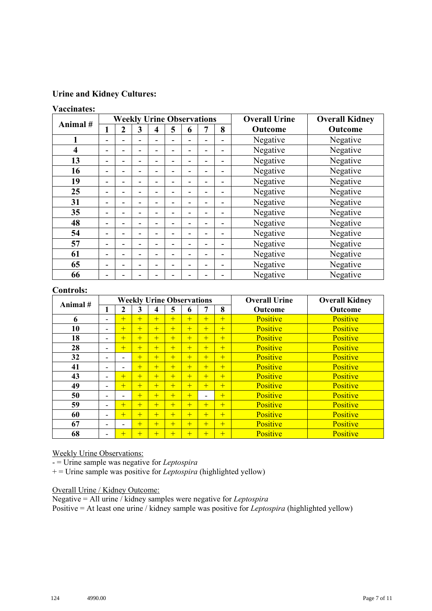# **Urine and Kidney Cultures:**

#### **Vaccinates:**

|                         |                          | <b>Weekly Urine Observations</b> |   |   |   |   |  |                          | <b>Overall Urine</b> | <b>Overall Kidney</b> |
|-------------------------|--------------------------|----------------------------------|---|---|---|---|--|--------------------------|----------------------|-----------------------|
| Animal#                 |                          | $\overline{2}$                   | 3 | 4 | 5 | 6 |  | 8                        | Outcome              | Outcome               |
| 1                       | $\blacksquare$           |                                  |   |   |   |   |  |                          | Negative             | Negative              |
| $\overline{\mathbf{4}}$ | $\blacksquare$           |                                  |   |   |   |   |  | $\overline{\phantom{0}}$ | Negative             | Negative              |
| 13                      | $\overline{\phantom{a}}$ | ۰                                |   |   |   |   |  | $\blacksquare$           | Negative             | Negative              |
| 16                      | ۰                        |                                  |   |   |   |   |  | ۰                        | Negative             | Negative              |
| 19                      | ۰                        | -                                |   |   |   |   |  | $\overline{\phantom{0}}$ | Negative             | Negative              |
| 25                      | ۰                        |                                  |   |   |   |   |  | $\blacksquare$           | Negative             | Negative              |
| 31                      | ۰                        |                                  |   |   |   |   |  |                          | Negative             | Negative              |
| 35                      | $\overline{\phantom{0}}$ | -                                |   |   |   |   |  | -                        | Negative             | Negative              |
| 48                      | ۰                        |                                  |   |   |   |   |  | $\blacksquare$           | Negative             | Negative              |
| 54                      | ۰                        |                                  |   |   |   |   |  | ۰                        | Negative             | Negative              |
| 57                      | -                        |                                  |   |   |   |   |  | $\blacksquare$           | Negative             | Negative              |
| 61                      | -                        | -                                |   |   |   |   |  | $\blacksquare$           | Negative             | Negative              |
| 65                      | ۰                        |                                  |   |   |   |   |  | ۰                        | Negative             | Negative              |
| 66                      | $\overline{\phantom{0}}$ |                                  |   |   |   |   |  |                          | Negative             | Negative              |

## **Controls:**

| Animal# |                          | <b>Weekly Urine Observations</b> |     |     |     |     |                          |     | <b>Overall Urine</b> | <b>Overall Kidney</b> |
|---------|--------------------------|----------------------------------|-----|-----|-----|-----|--------------------------|-----|----------------------|-----------------------|
|         | ш                        | 2                                | 3   | 4   | 5   | 6   | 7                        | 8   | <b>Outcome</b>       | <b>Outcome</b>        |
| 6       | $\overline{\phantom{0}}$ | $+$                              | $+$ | $+$ | $+$ | $+$ | $+$                      | $+$ | Positive             | Positive              |
| 10      | $\overline{\phantom{0}}$ | $+$                              | $+$ | $+$ | $+$ | $+$ | $+$                      | $+$ | Positive             | Positive              |
| 18      | $\overline{\phantom{0}}$ | $+$                              | $+$ | $+$ | $+$ | $+$ | $+$                      | $+$ | Positive             | Positive              |
| 28      | $\overline{\phantom{0}}$ | $+$                              | $+$ | $+$ | $+$ | $+$ | $+$                      | $+$ | Positive             | Positive              |
| 32      | $\overline{\phantom{0}}$ |                                  | $+$ | $+$ | $+$ | Ŧ   | $+$                      | $+$ | Positive             | Positive              |
| 41      | $\overline{\phantom{0}}$ |                                  | $+$ | $+$ | $+$ | $+$ | $+$                      | $+$ | Positive             | Positive              |
| 43      | $\overline{\phantom{0}}$ | $+$                              | $+$ | $+$ | $+$ | $+$ | $+$                      | $+$ | Positive             | Positive              |
| 49      | $\overline{\phantom{0}}$ | $+$                              | $+$ | $+$ | $+$ | $+$ | $+$                      | $+$ | <b>Positive</b>      | Positive              |
| 50      | $\overline{\phantom{0}}$ | $\blacksquare$                   | $+$ | $+$ | $+$ | $+$ | $\overline{\phantom{0}}$ | $+$ | Positive             | Positive              |
| 59      | $\overline{\phantom{0}}$ | $+$                              | $+$ | $+$ | $+$ | $+$ | $+$                      | $+$ | Positive             | Positive              |
| 60      | -                        | $+$                              | $+$ | $+$ | $+$ | $+$ | $+$                      | $+$ | Positive             | Positive              |
| 67      | ۰                        | $\overline{\phantom{0}}$         | $+$ | $+$ | $+$ | $+$ | $+$                      | $+$ | Positive             | Positive              |
| 68      | $\overline{\phantom{a}}$ | $+$                              | $+$ | $+$ | $+$ | $+$ | $+$                      | $+$ | Positive             | Positive              |

#### Weekly Urine Observations:

- = Urine sample was negative for *Leptospira* 

+ = Urine sample was positive for *Leptospira* (highlighted yellow)

## Overall Urine / Kidney Outcome:

Negative = All urine / kidney samples were negative for *Leptospira* Positive = At least one urine / kidney sample was positive for *Leptospira* (highlighted yellow)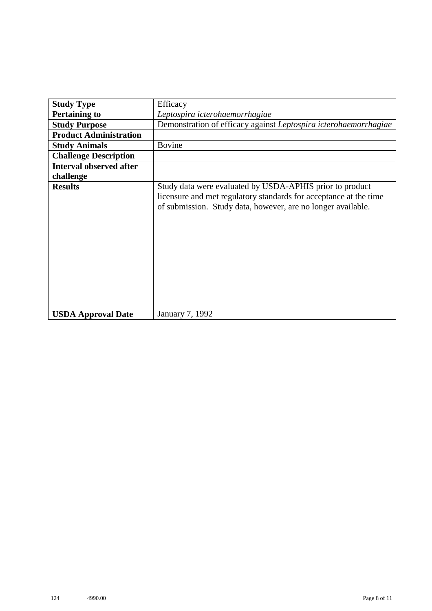| <b>Study Type</b>              | Efficacy                                                                                                                                                                                      |
|--------------------------------|-----------------------------------------------------------------------------------------------------------------------------------------------------------------------------------------------|
| <b>Pertaining to</b>           | Leptospira icterohaemorrhagiae                                                                                                                                                                |
| <b>Study Purpose</b>           | Demonstration of efficacy against Leptospira icterohaemorrhagiae                                                                                                                              |
| <b>Product Administration</b>  |                                                                                                                                                                                               |
| <b>Study Animals</b>           | <b>Bovine</b>                                                                                                                                                                                 |
| <b>Challenge Description</b>   |                                                                                                                                                                                               |
| <b>Interval observed after</b> |                                                                                                                                                                                               |
| challenge                      |                                                                                                                                                                                               |
| <b>Results</b>                 | Study data were evaluated by USDA-APHIS prior to product<br>licensure and met regulatory standards for acceptance at the time<br>of submission. Study data, however, are no longer available. |
| <b>USDA Approval Date</b>      | January 7, 1992                                                                                                                                                                               |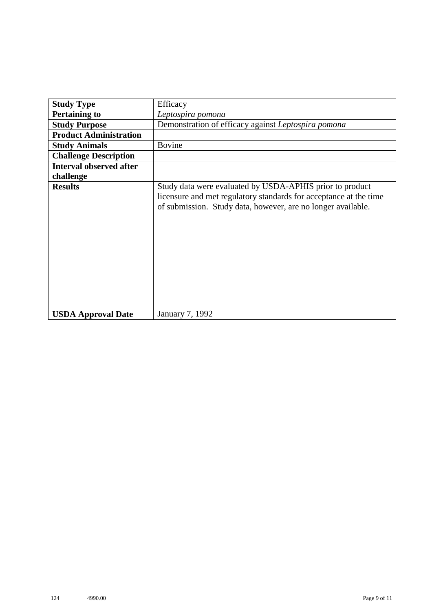| <b>Study Type</b>              | Efficacy                                                                                                                                                                                      |  |  |  |  |  |
|--------------------------------|-----------------------------------------------------------------------------------------------------------------------------------------------------------------------------------------------|--|--|--|--|--|
| <b>Pertaining to</b>           | Leptospira pomona                                                                                                                                                                             |  |  |  |  |  |
| <b>Study Purpose</b>           | Demonstration of efficacy against Leptospira pomona                                                                                                                                           |  |  |  |  |  |
| <b>Product Administration</b>  |                                                                                                                                                                                               |  |  |  |  |  |
| <b>Study Animals</b>           | <b>Bovine</b>                                                                                                                                                                                 |  |  |  |  |  |
| <b>Challenge Description</b>   |                                                                                                                                                                                               |  |  |  |  |  |
| <b>Interval observed after</b> |                                                                                                                                                                                               |  |  |  |  |  |
| challenge                      |                                                                                                                                                                                               |  |  |  |  |  |
| <b>Results</b>                 | Study data were evaluated by USDA-APHIS prior to product<br>licensure and met regulatory standards for acceptance at the time<br>of submission. Study data, however, are no longer available. |  |  |  |  |  |
| <b>USDA Approval Date</b>      | January 7, 1992                                                                                                                                                                               |  |  |  |  |  |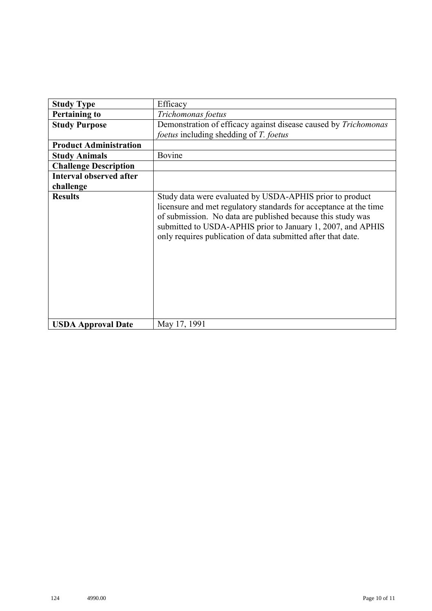| <b>Study Type</b>              | Efficacy                                                                                                                                                                                                                                                                                                                    |  |  |  |  |
|--------------------------------|-----------------------------------------------------------------------------------------------------------------------------------------------------------------------------------------------------------------------------------------------------------------------------------------------------------------------------|--|--|--|--|
| <b>Pertaining to</b>           | Trichomonas foetus                                                                                                                                                                                                                                                                                                          |  |  |  |  |
| <b>Study Purpose</b>           | Demonstration of efficacy against disease caused by Trichomonas                                                                                                                                                                                                                                                             |  |  |  |  |
|                                | <i>foetus</i> including shedding of T. foetus                                                                                                                                                                                                                                                                               |  |  |  |  |
| <b>Product Administration</b>  |                                                                                                                                                                                                                                                                                                                             |  |  |  |  |
| <b>Study Animals</b>           | Bovine                                                                                                                                                                                                                                                                                                                      |  |  |  |  |
| <b>Challenge Description</b>   |                                                                                                                                                                                                                                                                                                                             |  |  |  |  |
| <b>Interval observed after</b> |                                                                                                                                                                                                                                                                                                                             |  |  |  |  |
| challenge                      |                                                                                                                                                                                                                                                                                                                             |  |  |  |  |
| <b>Results</b>                 | Study data were evaluated by USDA-APHIS prior to product<br>licensure and met regulatory standards for acceptance at the time<br>of submission. No data are published because this study was<br>submitted to USDA-APHIS prior to January 1, 2007, and APHIS<br>only requires publication of data submitted after that date. |  |  |  |  |
| <b>USDA Approval Date</b>      | May 17, 1991                                                                                                                                                                                                                                                                                                                |  |  |  |  |